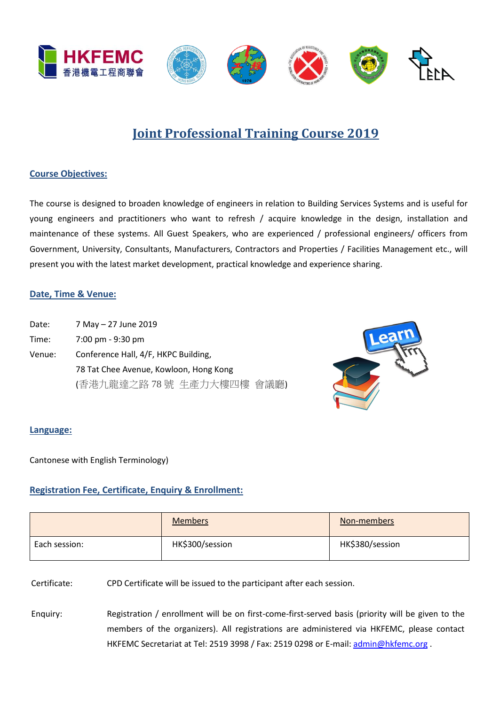

## **Joint Professional Training Course 2019**

#### **Course Objectives:**

The course is designed to broaden knowledge of engineers in relation to Building Services Systems and is useful for young engineers and practitioners who want to refresh / acquire knowledge in the design, installation and maintenance of these systems. All Guest Speakers, who are experienced / professional engineers/ officers from Government, University, Consultants, Manufacturers, Contractors and Properties / Facilities Management etc., will present you with the latest market development, practical knowledge and experience sharing.

#### **Date, Time & Venue:**

Date: 7 May – 27 June 2019 Time: 7:00 pm - 9:30 pm Venue: Conference Hall, 4/F, HKPC Building, 78 Tat Chee Avenue, Kowloon, Hong Kong (香港九龍達之路 78 號 生產力大樓四樓 會議廳)



#### **Language:**

Cantonese with English Terminology)

#### **Registration Fee, Certificate, Enquiry & Enrollment:**

|               | <b>Members</b>  | Non-members     |
|---------------|-----------------|-----------------|
| Each session: | HK\$300/session | HK\$380/session |

Certificate: CPD Certificate will be issued to the participant after each session.

Enquiry: Registration / enrollment will be on first-come-first-served basis (priority will be given to the members of the organizers). All registrations are administered via HKFEMC, please contact HKFEMC Secretariat at Tel: 2519 3998 / Fax: 2519 0298 or E-mail[: admin@hkfemc.org](mailto:admin@hkfemc.org) .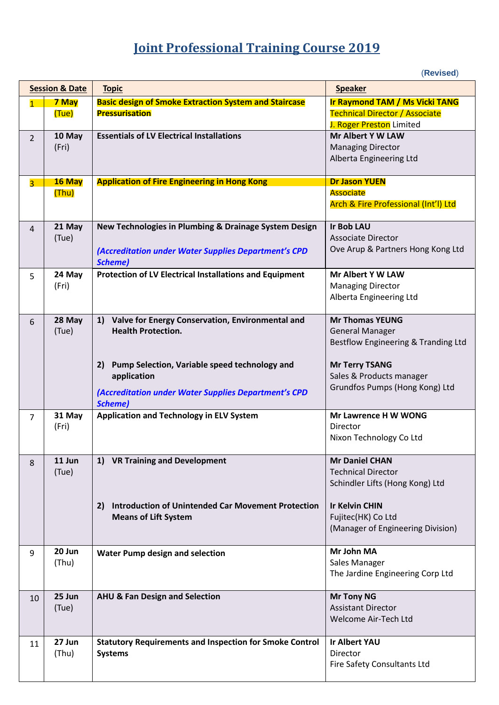# **Joint Professional Training Course 2019**

(**Revised**)

| <b>Session &amp; Date</b> |        | <b>Topic</b>                                                    | <b>Speaker</b>                                     |
|---------------------------|--------|-----------------------------------------------------------------|----------------------------------------------------|
| $\overline{1}$            | 7 May  | <b>Basic design of Smoke Extraction System and Staircase</b>    | <b>Ir Raymond TAM / Ms Vicki TANG</b>              |
|                           | (Tue)  | <b>Pressurisation</b>                                           | <b>Technical Director / Associate</b>              |
|                           |        |                                                                 | J. Roger Preston Limited                           |
| $\overline{2}$            | 10 May | <b>Essentials of LV Electrical Installations</b>                | <b>Mr Albert Y W LAW</b>                           |
|                           | (Fri)  |                                                                 | <b>Managing Director</b>                           |
|                           |        |                                                                 | Alberta Engineering Ltd                            |
|                           |        |                                                                 |                                                    |
| $\overline{3}$            | 16 May | <b>Application of Fire Engineering in Hong Kong</b>             | <b>Dr Jason YUEN</b>                               |
|                           | (Thu)  |                                                                 | <b>Associate</b>                                   |
|                           |        |                                                                 | Arch & Fire Professional (Int'l) Ltd               |
|                           |        |                                                                 |                                                    |
| $\overline{4}$            | 21 May | New Technologies in Plumbing & Drainage System Design           | <b>Ir Bob LAU</b>                                  |
|                           | (Tue)  |                                                                 | <b>Associate Director</b>                          |
|                           |        | (Accreditation under Water Supplies Department's CPD            | Ove Arup & Partners Hong Kong Ltd                  |
|                           |        | <b>Scheme)</b>                                                  |                                                    |
| 5                         | 24 May | <b>Protection of LV Electrical Installations and Equipment</b>  | Mr Albert Y W LAW                                  |
|                           | (Fri)  |                                                                 | <b>Managing Director</b>                           |
|                           |        |                                                                 | Alberta Engineering Ltd                            |
|                           |        |                                                                 |                                                    |
| 6                         | 28 May | 1) Valve for Energy Conservation, Environmental and             | <b>Mr Thomas YEUNG</b>                             |
|                           | (Tue)  | <b>Health Protection.</b>                                       | <b>General Manager</b>                             |
|                           |        |                                                                 | Bestflow Engineering & Tranding Ltd                |
|                           |        |                                                                 |                                                    |
|                           |        | Pump Selection, Variable speed technology and<br>2)             | <b>Mr Terry TSANG</b>                              |
|                           |        | application                                                     | Sales & Products manager                           |
|                           |        | (Accreditation under Water Supplies Department's CPD            | Grundfos Pumps (Hong Kong) Ltd                     |
|                           |        | <b>Scheme)</b>                                                  |                                                    |
| $\overline{7}$            | 31 May | <b>Application and Technology in ELV System</b>                 | Mr Lawrence H W WONG                               |
|                           | (Fri)  |                                                                 | Director                                           |
|                           |        |                                                                 | Nixon Technology Co Ltd                            |
|                           |        |                                                                 |                                                    |
| 8                         | 11 Jun | 1) VR Training and Development                                  | <b>Mr Daniel CHAN</b><br><b>Technical Director</b> |
|                           | (Tue)  |                                                                 | Schindler Lifts (Hong Kong) Ltd                    |
|                           |        |                                                                 |                                                    |
|                           |        | <b>Introduction of Unintended Car Movement Protection</b><br>2) | <b>Ir Kelvin CHIN</b>                              |
|                           |        | <b>Means of Lift System</b>                                     | Fujitec(HK) Co Ltd                                 |
|                           |        |                                                                 | (Manager of Engineering Division)                  |
|                           |        |                                                                 |                                                    |
| 9                         | 20 Jun | <b>Water Pump design and selection</b>                          | Mr John MA                                         |
|                           | (Thu)  |                                                                 | Sales Manager                                      |
|                           |        |                                                                 | The Jardine Engineering Corp Ltd                   |
|                           |        |                                                                 |                                                    |
| 10                        | 25 Jun | <b>AHU &amp; Fan Design and Selection</b>                       | <b>Mr Tony NG</b>                                  |
|                           | (Tue)  |                                                                 | <b>Assistant Director</b>                          |
|                           |        |                                                                 | Welcome Air-Tech Ltd                               |
|                           |        |                                                                 |                                                    |
| 11                        | 27 Jun | <b>Statutory Requirements and Inspection for Smoke Control</b>  | <b>Ir Albert YAU</b>                               |
|                           | (Thu)  | <b>Systems</b>                                                  | Director                                           |
|                           |        |                                                                 | Fire Safety Consultants Ltd                        |
|                           |        |                                                                 |                                                    |